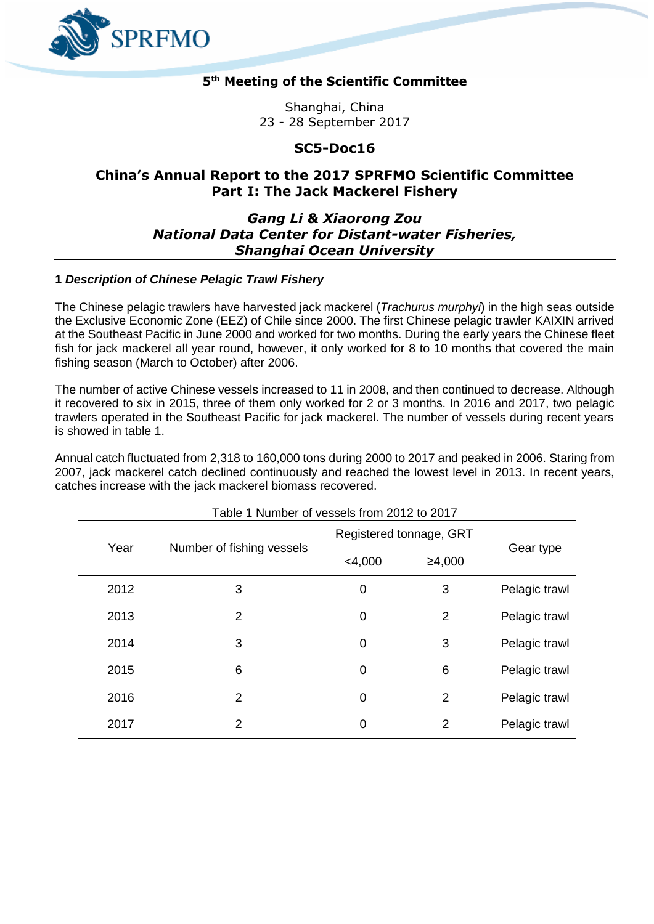

# **5 th Meeting of the Scientific Committee**

Shanghai, China 23 - 28 September 2017

## **SC5-Doc16**

# **China's Annual Report to the 2017 SPRFMO Scientific Committee Part I: The Jack Mackerel Fishery**

# *Gang Li & Xiaorong Zou National Data Center for Distant-water Fisheries, Shanghai Ocean University*

### **1** *Description of Chinese Pelagic Trawl Fishery*

The Chinese pelagic trawlers have harvested jack mackerel (*Trachurus murphyi*) in the high seas outside the Exclusive Economic Zone (EEZ) of Chile since 2000. The first Chinese pelagic trawler KAIXIN arrived at the Southeast Pacific in June 2000 and worked for two months. During the early years the Chinese fleet fish for jack mackerel all year round, however, it only worked for 8 to 10 months that covered the main fishing season (March to October) after 2006.

The number of active Chinese vessels increased to 11 in 2008, and then continued to decrease. Although it recovered to six in 2015, three of them only worked for 2 or 3 months. In 2016 and 2017, two pelagic trawlers operated in the Southeast Pacific for jack mackerel. The number of vessels during recent years is showed in table 1.

Annual catch fluctuated from 2,318 to 160,000 tons during 2000 to 2017 and peaked in 2006. Staring from 2007, jack mackerel catch declined continuously and reached the lowest level in 2013. In recent years, catches increase with the jack mackerel biomass recovered.

| Year |                           | Registered tonnage, GRT |        |               |  |  |
|------|---------------------------|-------------------------|--------|---------------|--|--|
|      | Number of fishing vessels | $<$ 4,000               | ≥4,000 | Gear type     |  |  |
| 2012 | 3                         | 0                       | 3      | Pelagic trawl |  |  |
| 2013 | 2                         | 0                       | 2      | Pelagic trawl |  |  |
| 2014 | 3                         | 0                       | 3      | Pelagic trawl |  |  |
| 2015 | 6                         | 0                       | 6      | Pelagic trawl |  |  |
| 2016 | 2                         | 0                       | 2      | Pelagic trawl |  |  |
| 2017 | $\overline{2}$            | 0                       | 2      | Pelagic trawl |  |  |

Table 1 Number of vessels from 2012 to 2017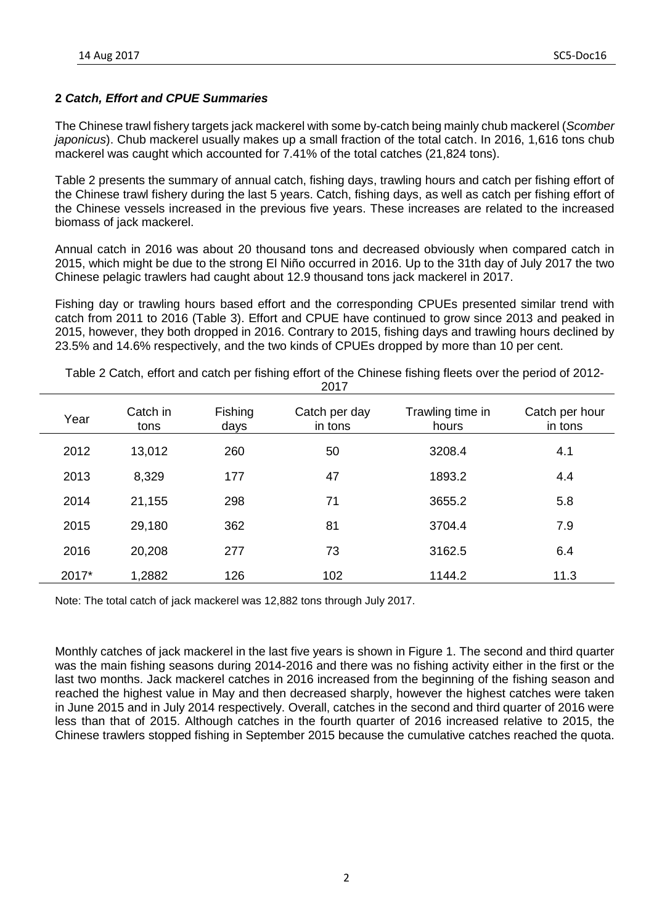# **2** *Catch, Effort and CPUE Summaries*

The Chinese trawl fishery targets jack mackerel with some by-catch being mainly chub mackerel (*Scomber japonicus*). Chub mackerel usually makes up a small fraction of the total catch. In 2016, 1,616 tons chub mackerel was caught which accounted for 7.41% of the total catches (21,824 tons).

Table 2 presents the summary of annual catch, fishing days, trawling hours and catch per fishing effort of the Chinese trawl fishery during the last 5 years. Catch, fishing days, as well as catch per fishing effort of the Chinese vessels increased in the previous five years. These increases are related to the increased biomass of jack mackerel.

Annual catch in 2016 was about 20 thousand tons and decreased obviously when compared catch in 2015, which might be due to the strong El Niño occurred in 2016. Up to the 31th day of July 2017 the two Chinese pelagic trawlers had caught about 12.9 thousand tons jack mackerel in 2017.

Fishing day or trawling hours based effort and the corresponding CPUEs presented similar trend with catch from 2011 to 2016 (Table 3). Effort and CPUE have continued to grow since 2013 and peaked in 2015, however, they both dropped in 2016. Contrary to 2015, fishing days and trawling hours declined by 23.5% and 14.6% respectively, and the two kinds of CPUEs dropped by more than 10 per cent.

|       |                  |                 | <u>_</u>                 |                           |                           |  |  |  |  |
|-------|------------------|-----------------|--------------------------|---------------------------|---------------------------|--|--|--|--|
| Year  | Catch in<br>tons | Fishing<br>days | Catch per day<br>in tons | Trawling time in<br>hours | Catch per hour<br>in tons |  |  |  |  |
| 2012  | 13,012           | 260             | 50                       | 3208.4                    | 4.1                       |  |  |  |  |
| 2013  | 8,329            | 177             | 47                       | 1893.2                    | 4.4                       |  |  |  |  |
| 2014  | 21,155           | 298             | 71                       | 3655.2                    | 5.8                       |  |  |  |  |
| 2015  | 29,180           | 362             | 81                       | 3704.4                    | 7.9                       |  |  |  |  |
| 2016  | 20,208           | 277             | 73                       | 3162.5                    | 6.4                       |  |  |  |  |
| 2017* | 1,2882           | 126             | 102                      | 1144.2                    | 11.3                      |  |  |  |  |

Table 2 Catch, effort and catch per fishing effort of the Chinese fishing fleets over the period of 2012-  $2017$ 

Note: The total catch of jack mackerel was 12,882 tons through July 2017.

Monthly catches of jack mackerel in the last five years is shown in Figure 1. The second and third quarter was the main fishing seasons during 2014-2016 and there was no fishing activity either in the first or the last two months. Jack mackerel catches in 2016 increased from the beginning of the fishing season and reached the highest value in May and then decreased sharply, however the highest catches were taken in June 2015 and in July 2014 respectively. Overall, catches in the second and third quarter of 2016 were less than that of 2015. Although catches in the fourth quarter of 2016 increased relative to 2015, the Chinese trawlers stopped fishing in September 2015 because the cumulative catches reached the quota.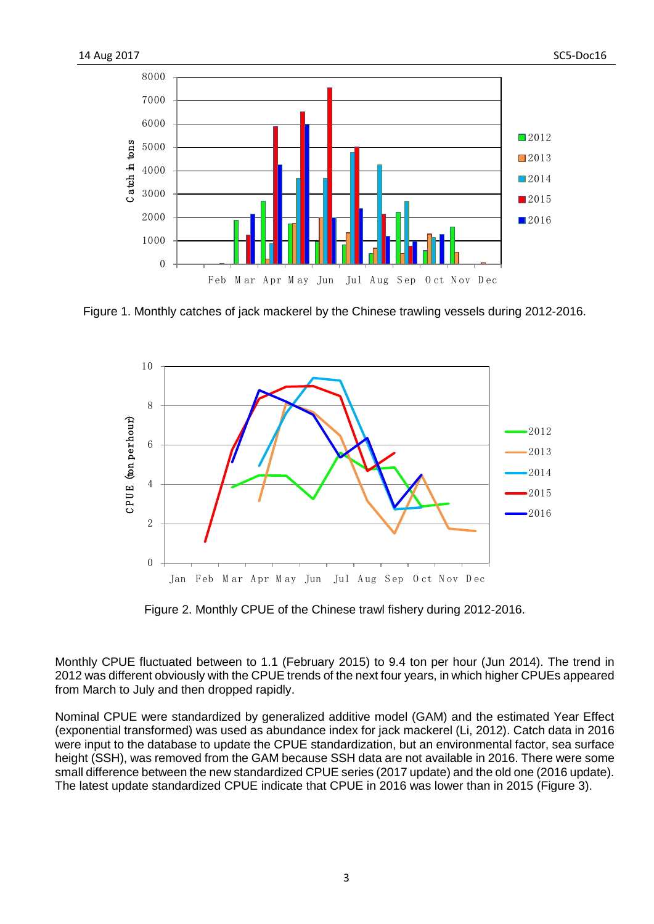

Figure 1. Monthly catches of jack mackerel by the Chinese trawling vessels during 2012-2016.



Figure 2. Monthly CPUE of the Chinese trawl fishery during 2012-2016.

Monthly CPUE fluctuated between to 1.1 (February 2015) to 9.4 ton per hour (Jun 2014). The trend in was different obviously with the CPUE trends of the next four years, in which higher CPUEs appeared from March to July and then dropped rapidly.

Nominal CPUE were standardized by generalized additive model (GAM) and the estimated Year Effect (exponential transformed) was used as abundance index for jack mackerel (Li, 2012). Catch data in 2016 were input to the database to update the CPUE standardization, but an environmental factor, sea surface height (SSH), was removed from the GAM because SSH data are not available in 2016. There were some small difference between the new standardized CPUE series (2017 update) and the old one (2016 update). The latest update standardized CPUE indicate that CPUE in 2016 was lower than in 2015 (Figure 3).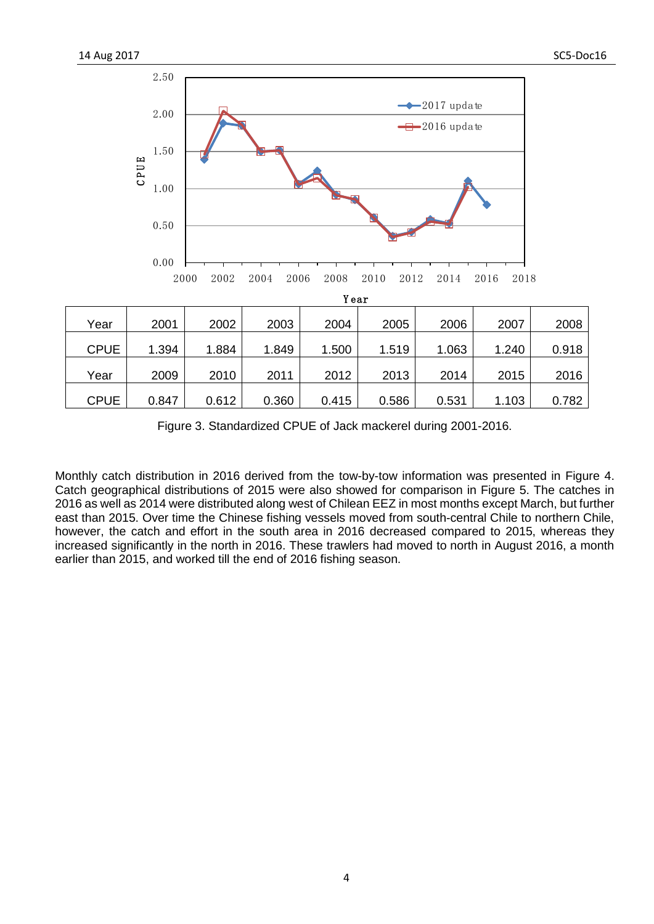

Figure 3. Standardized CPUE of Jack mackerel during 2001-2016.

Monthly catch distribution in 2016 derived from the tow-by-tow information was presented in Figure 4. Catch geographical distributions of 2015 were also showed for comparison in Figure 5. The catches in 2016 as well as 2014 were distributed along west of Chilean EEZ in most months except March, but further east than 2015. Over time the Chinese fishing vessels moved from south-central Chile to northern Chile, however, the catch and effort in the south area in 2016 decreased compared to 2015, whereas they increased significantly in the north in 2016. These trawlers had moved to north in August 2016, a month earlier than 2015, and worked till the end of 2016 fishing season.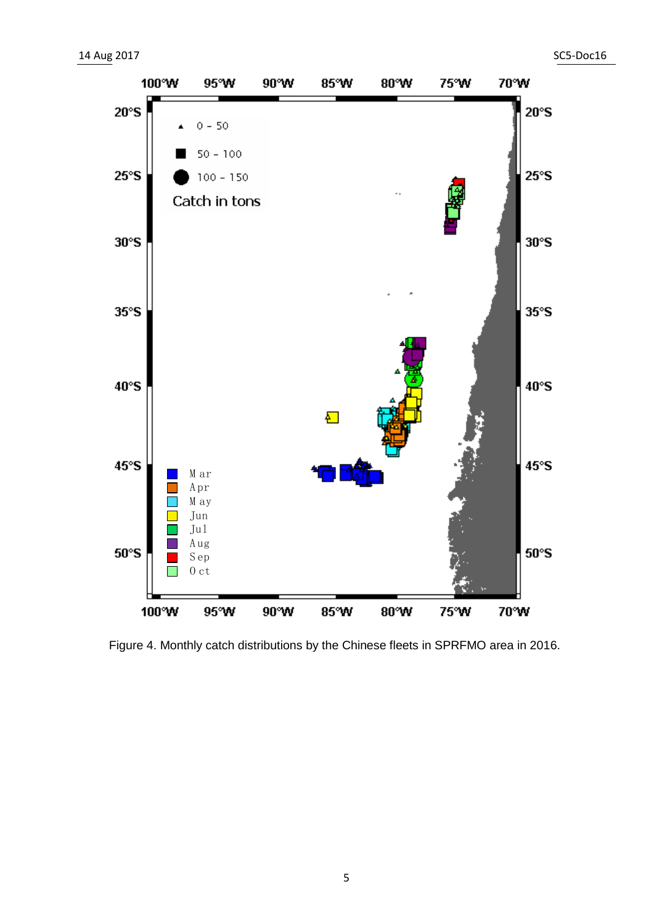

Figure 4. Monthly catch distributions by the Chinese fleets in SPRFMO area in 2016.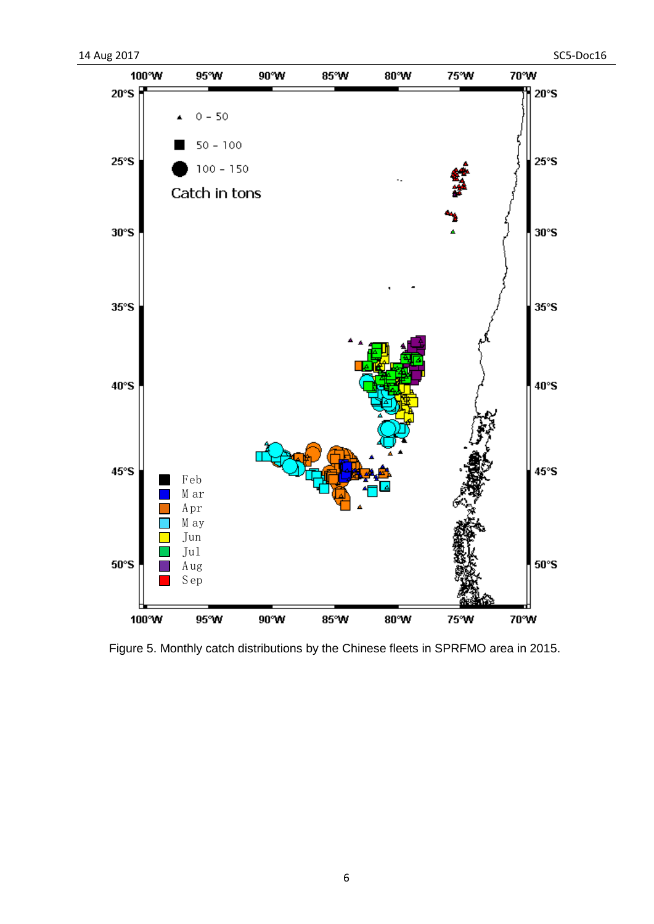

Figure 5. Monthly catch distributions by the Chinese fleets in SPRFMO area in 2015.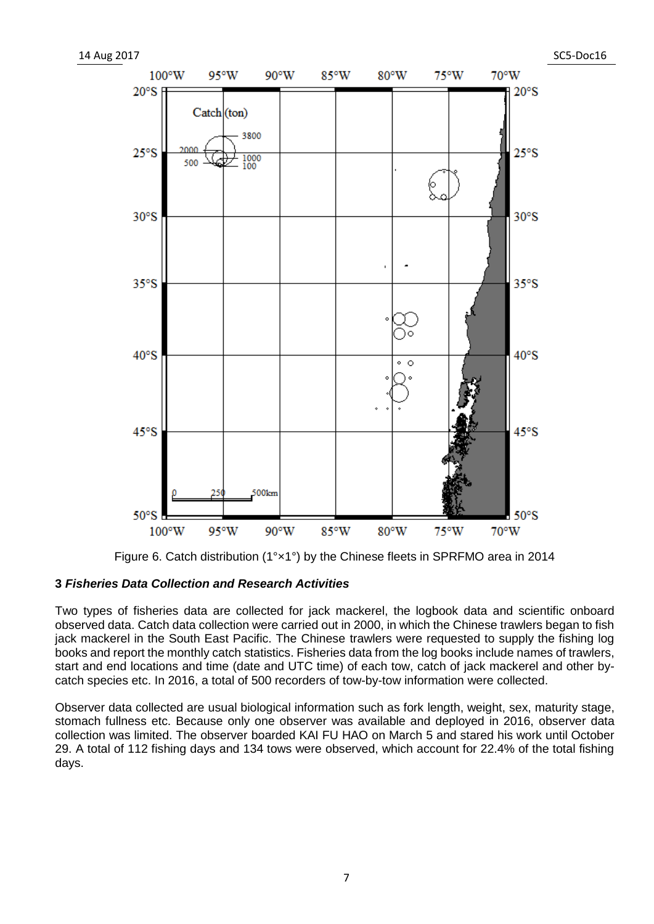

Figure 6. Catch distribution (1°×1°) by the Chinese fleets in SPRFMO area in 2014

## **3** *Fisheries Data Collection and Research Activities*

Two types of fisheries data are collected for jack mackerel, the logbook data and scientific onboard observed data. Catch data collection were carried out in 2000, in which the Chinese trawlers began to fish jack mackerel in the South East Pacific. The Chinese trawlers were requested to supply the fishing log books and report the monthly catch statistics. Fisheries data from the log books include names of trawlers, start and end locations and time (date and UTC time) of each tow, catch of jack mackerel and other bycatch species etc. In 2016, a total of 500 recorders of tow-by-tow information were collected.

Observer data collected are usual biological information such as fork length, weight, sex, maturity stage, stomach fullness etc. Because only one observer was available and deployed in 2016, observer data collection was limited. The observer boarded KAI FU HAO on March 5 and stared his work until October 29. A total of 112 fishing days and 134 tows were observed, which account for 22.4% of the total fishing days.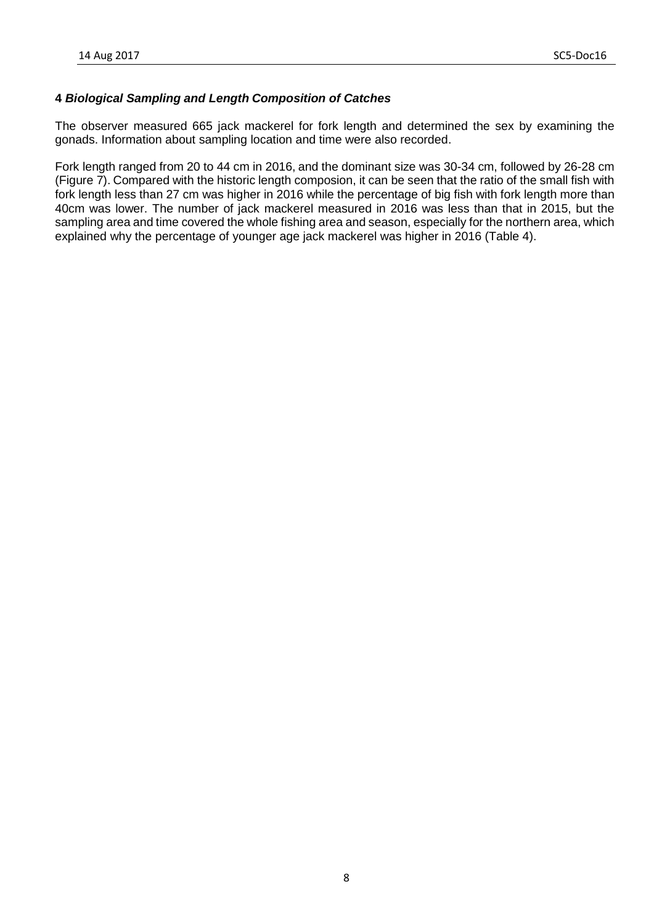## **4** *Biological Sampling and Length Composition of Catches*

The observer measured 665 jack mackerel for fork length and determined the sex by examining the gonads. Information about sampling location and time were also recorded.

Fork length ranged from 20 to 44 cm in 2016, and the dominant size was 30-34 cm, followed by 26-28 cm (Figure 7). Compared with the historic length composion, it can be seen that the ratio of the small fish with fork length less than 27 cm was higher in 2016 while the percentage of big fish with fork length more than 40cm was lower. The number of jack mackerel measured in 2016 was less than that in 2015, but the sampling area and time covered the whole fishing area and season, especially for the northern area, which explained why the percentage of younger age jack mackerel was higher in 2016 (Table 4).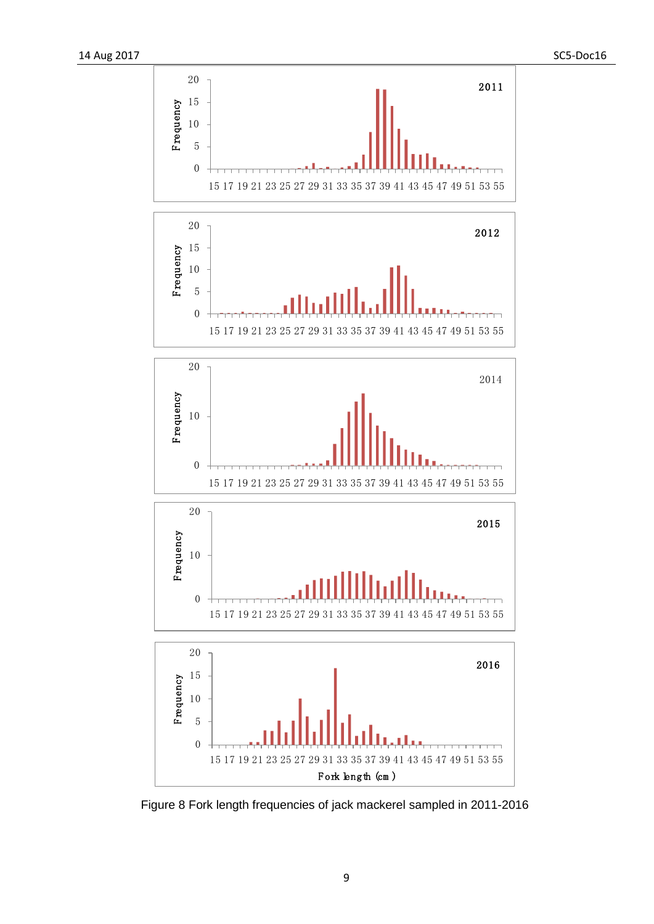

Figure 8 Fork length frequencies of jack mackerel sampled in 2011-2016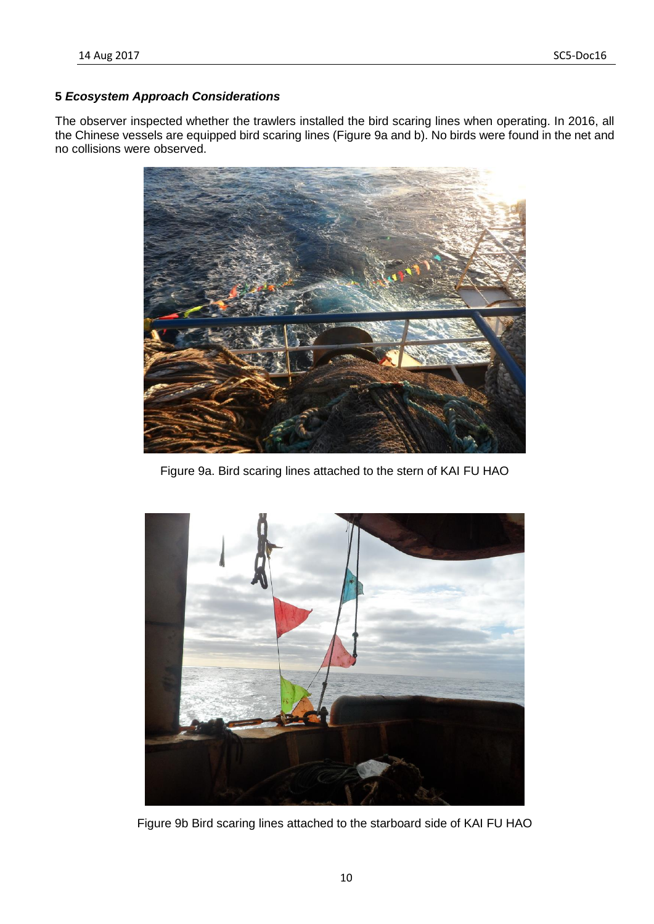## **5** *Ecosystem Approach Considerations*

The observer inspected whether the trawlers installed the bird scaring lines when operating. In 2016, all the Chinese vessels are equipped bird scaring lines (Figure 9a and b). No birds were found in the net and no collisions were observed.



Figure 9a. Bird scaring lines attached to the stern of KAI FU HAO



Figure 9b Bird scaring lines attached to the starboard side of KAI FU HAO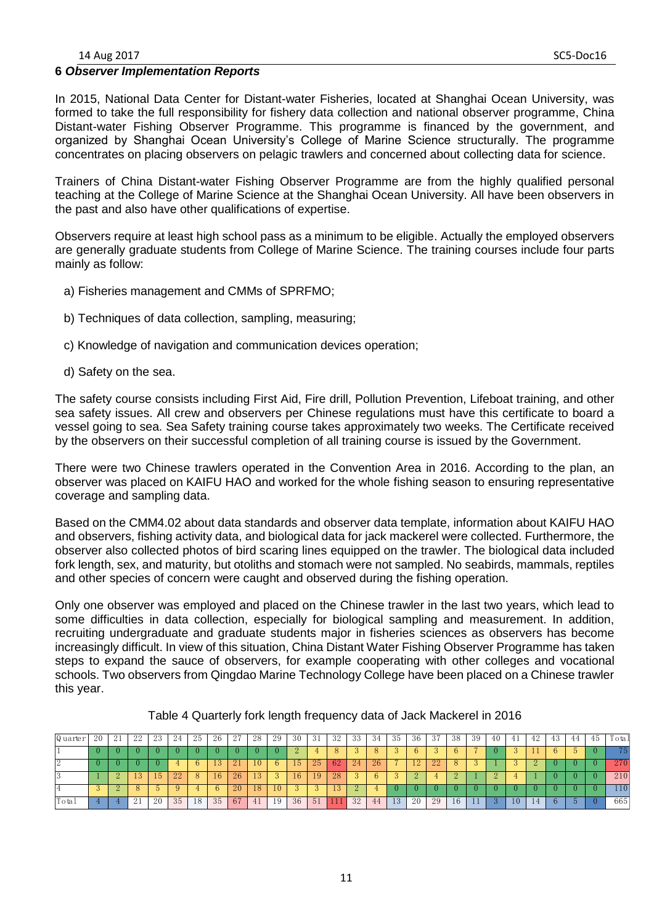#### 14 Aug 2017 SC5-Doc16

#### **6** *Observer Implementation Reports*

In 2015, National Data Center for Distant-water Fisheries, located at Shanghai Ocean University, was formed to take the full responsibility for fishery data collection and national observer programme, China Distant-water Fishing Observer Programme. This programme is financed by the government, and organized by Shanghai Ocean University's College of Marine Science structurally. The programme concentrates on placing observers on pelagic trawlers and concerned about collecting data for science.

Trainers of China Distant-water Fishing Observer Programme are from the highly qualified personal teaching at the College of Marine Science at the Shanghai Ocean University. All have been observers in the past and also have other qualifications of expertise.

Observers require at least high school pass as a minimum to be eligible. Actually the employed observers are generally graduate students from College of Marine Science. The training courses include four parts mainly as follow:

- a) Fisheries management and CMMs of SPRFMO;
- b) Techniques of data collection, sampling, measuring;
- c) Knowledge of navigation and communication devices operation;
- d) Safety on the sea.

The safety course consists including First Aid, Fire drill, Pollution Prevention, Lifeboat training, and other sea safety issues. All crew and observers per Chinese regulations must have this certificate to board a vessel going to sea. Sea Safety training course takes approximately two weeks. The Certificate received by the observers on their successful completion of all training course is issued by the Government.

There were two Chinese trawlers operated in the Convention Area in 2016. According to the plan, an observer was placed on KAIFU HAO and worked for the whole fishing season to ensuring representative coverage and sampling data.

Based on the CMM4.02 about data standards and observer data template, information about KAIFU HAO and observers, fishing activity data, and biological data for jack mackerel were collected. Furthermore, the observer also collected photos of bird scaring lines equipped on the trawler. The biological data included fork length, sex, and maturity, but otoliths and stomach were not sampled. No seabirds, mammals, reptiles and other species of concern were caught and observed during the fishing operation.

Only one observer was employed and placed on the Chinese trawler in the last two years, which lead to some difficulties in data collection, especially for biological sampling and measurement. In addition, recruiting undergraduate and graduate students major in fisheries sciences as observers has become increasingly difficult. In view of this situation, China Distant Water Fishing Observer Programme has taken steps to expand the sauce of observers, for example cooperating with other colleges and vocational schools. Two observers from Qingdao Marine Technology College have been placed on a Chinese trawler<br>this year.<br>
Table 4 Quarterly fork length frequency data of Jack Mackerel in 2016<br>
Quarter 20 21 22 23 24 25 26 27 28 29 this year.

| this year.     |    |    |    |                |    |    |    |                                                                       |    |    |    |    |    |     |     |     |     |     |    |    |    |    |    |    |                |    |       |
|----------------|----|----|----|----------------|----|----|----|-----------------------------------------------------------------------|----|----|----|----|----|-----|-----|-----|-----|-----|----|----|----|----|----|----|----------------|----|-------|
|                |    |    |    |                |    |    |    | Table 4 Quarterly fork length frequency data of Jack Mackerel in 2016 |    |    |    |    |    |     |     |     |     |     |    |    |    |    |    |    |                |    |       |
| Q uarter       | 20 | 21 | 22 | 23             | 24 | 25 | 26 | 27                                                                    | 28 | 29 | 30 | 31 | 32 | -33 | -34 | -35 | -36 | -37 | 38 | 39 | 40 | 41 | 42 | 43 | 44             | 45 | Total |
|                |    |    |    |                |    |    |    |                                                                       |    |    |    |    |    |     |     |     | h.  |     | h  |    |    |    |    | 6. | $\mathfrak{h}$ |    | 75    |
| $\overline{2}$ |    |    |    |                |    | 6  | 13 | 21                                                                    | 10 | 6  | 15 | 25 | 62 | 24  | 26  |     | 12  | 22  | 8  |    |    |    |    |    |                |    | 270   |
|                |    |    | 13 | 15             | 22 | 8  | 16 | 26                                                                    | 13 |    | 16 | 19 | 28 |     | h   | 5   |     |     |    |    |    |    |    |    |                |    | 210   |
| 4              |    |    |    | $\mathfrak{h}$ |    |    | h  | 20                                                                    | 18 | 10 |    |    | 13 |     |     |     |     |     |    |    |    |    |    |    |                |    | 110   |
| Total          |    |    | 21 | 20             | 35 | 18 | 35 | 67                                                                    | 41 | 19 | 36 | 51 |    | 32  | 44  | 13  | 20  | 29  | 16 |    |    | 10 | 14 | h. | 5              |    | 665   |
|                |    |    |    |                |    |    |    |                                                                       |    |    |    |    |    |     |     |     |     |     |    |    |    |    |    |    |                |    |       |